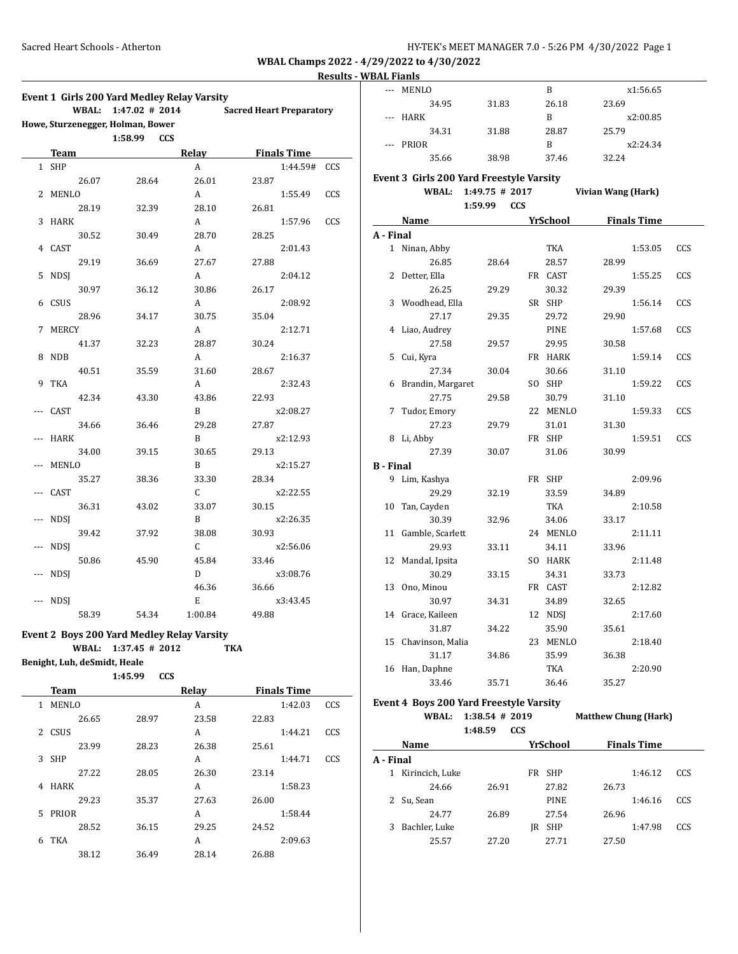# **Results - WBAL Fianls**

|       |                              | Event 1 Girls 200 Yard Medley Relay Varsity       |              |                                 |     |
|-------|------------------------------|---------------------------------------------------|--------------|---------------------------------|-----|
|       | WBAL:                        | 1:47.02 # 2014                                    |              | <b>Sacred Heart Preparatory</b> |     |
|       |                              | Howe, Sturzenegger, Holman, Bower                 |              |                                 |     |
|       |                              | 1:58.99<br><b>CCS</b>                             |              |                                 |     |
|       | Team                         |                                                   | Relay        | <b>Finals Time</b>              |     |
| 1     | <b>SHP</b>                   |                                                   | A            | 1:44.59#                        | CCS |
|       | 26.07                        | 28.64                                             | 26.01        | 23.87                           |     |
| 2     | <b>MENLO</b>                 |                                                   | А            | 1:55.49                         | CCS |
|       | 28.19                        | 32.39                                             | 28.10        | 26.81                           |     |
| 3     | <b>HARK</b>                  |                                                   | А            | 1:57.96                         | CCS |
|       | 30.52                        | 30.49                                             | 28.70        | 28.25                           |     |
| 4     | CAST                         |                                                   | А            | 2:01.43                         |     |
|       | 29.19                        | 36.69                                             | 27.67        | 27.88                           |     |
| 5     | <b>NDSI</b>                  |                                                   | А            | 2:04.12                         |     |
|       | 30.97                        | 36.12                                             | 30.86        | 26.17                           |     |
| 6     | CSUS                         |                                                   | А            | 2:08.92                         |     |
|       | 28.96                        | 34.17                                             | 30.75        | 35.04                           |     |
| 7     | <b>MERCY</b>                 |                                                   | А            | 2:12.71                         |     |
|       | 41.37                        | 32.23                                             | 28.87        | 30.24                           |     |
| 8     | <b>NDB</b>                   |                                                   | A            | 2:16.37                         |     |
|       | 40.51                        | 35.59                                             | 31.60        | 28.67                           |     |
| 9     | TKA                          |                                                   | А            | 2:32.43                         |     |
|       | 42.34                        | 43.30                                             | 43.86        | 22.93                           |     |
| ---   | CAST                         |                                                   | B            | x2:08.27                        |     |
|       | 34.66                        | 36.46                                             | 29.28        | 27.87                           |     |
| ---   | <b>HARK</b>                  |                                                   | B            | x2:12.93                        |     |
|       | 34.00                        | 39.15                                             | 30.65        | 29.13                           |     |
| ---   | MENLO                        |                                                   | B            | x2:15.27                        |     |
|       | 35.27                        | 38.36                                             | 33.30        | 28.34                           |     |
| $---$ | CAST                         |                                                   | C            | x2:22.55                        |     |
|       | 36.31                        | 43.02                                             | 33.07        | 30.15                           |     |
|       | <b>NDSJ</b>                  |                                                   | B            | x2:26.35                        |     |
|       | 39.42                        | 37.92                                             | 38.08        | 30.93                           |     |
| ---   | <b>NDSJ</b>                  |                                                   | C            | x2:56.06                        |     |
|       | 50.86                        | 45.90                                             | 45.84        | 33.46                           |     |
| ---   | NDSJ                         |                                                   | D            | x3:08.76                        |     |
|       |                              |                                                   | 46.36        | 36.66                           |     |
| $---$ | NDSJ                         |                                                   | Е            | x3:43.45                        |     |
|       | 58.39                        | 54.34                                             | 1:00.84      | 49.88                           |     |
|       |                              | <b>Event 2 Boys 200 Yard Medley Relay Varsity</b> |              |                                 |     |
|       | WBAL:                        | $1:37.45$ # 2012                                  |              | TKA                             |     |
|       | Benight, Luh, deSmidt, Heale |                                                   |              |                                 |     |
|       |                              | 1:45.99<br><b>CCS</b>                             |              |                                 |     |
|       | Team                         |                                                   | <b>Relay</b> | <b>Finals Time</b>              |     |
| 1     | MENLO                        |                                                   | А            | 1:42.03                         | CCS |

26.65 28.97 23.58 22.83 2 CSUS A 1:44.21 CCS 23.99 28.23 26.38 25.61 3 SHP A 1:44.71 CCS 27.22 28.05 26.30 23.14 4 HARK **A** 1:58.23 29.23 35.37 27.63 26.00 5 PRIOR A 1:58.44 28.52 36.15 29.25 24.52 6 TKA 2:09.63 38.12 36.49 28.14 26.88

| <u>dal fiailis</u> |                                          |                       |                  |                             |     |
|--------------------|------------------------------------------|-----------------------|------------------|-----------------------------|-----|
| $\overline{a}$     | MENLO                                    |                       | B                | x1:56.65                    |     |
|                    | 34.95                                    | 31.83                 | 26.18            | 23.69                       |     |
|                    | <b>HARK</b>                              |                       | B                | x2:00.85                    |     |
|                    | 34.31                                    | 31.88                 | 28.87            | 25.79                       |     |
| $---$              | PRIOR                                    |                       | B                | x2:24.34                    |     |
|                    | 35.66                                    | 38.98                 | 37.46            | 32.24                       |     |
|                    |                                          |                       |                  |                             |     |
|                    | Event 3 Girls 200 Yard Freestyle Varsity |                       |                  |                             |     |
|                    | <b>WBAL:</b>                             | $1:49.75$ # 2017      |                  | Vivian Wang (Hark)          |     |
|                    |                                          | 1:59.99<br><b>CCS</b> |                  |                             |     |
|                    | Name                                     |                       | <u>YrSchool</u>  | <b>Finals Time</b>          |     |
| A - Final          |                                          |                       |                  |                             |     |
|                    | 1 Ninan, Abby                            |                       | TKA              | 1:53.05                     | CCS |
|                    | 26.85                                    | 28.64                 | 28.57            | 28.99                       |     |
| $\mathbf{2}$       | Detter, Ella                             |                       | FR CAST          | 1:55.25                     | CCS |
|                    | 26.25                                    | 29.29                 | 30.32            | 29.39                       |     |
| 3                  | Woodhead, Ella                           |                       | SR SHP           | 1:56.14                     | CCS |
|                    | 27.17                                    | 29.35                 | 29.72            | 29.90                       |     |
| 4                  | Liao, Audrey                             |                       | PINE             | 1:57.68                     | CCS |
|                    | 27.58                                    | 29.57                 | 29.95            | 30.58                       |     |
| 5.                 | Cui, Kyra                                |                       | FR HARK          | 1:59.14                     | CCS |
|                    | 27.34                                    | 30.04                 | 30.66            | 31.10                       |     |
| 6                  | Brandin, Margaret                        |                       | SO SHP           | 1:59.22                     | CCS |
|                    | 27.75                                    | 29.58                 | 30.79            | 31.10                       |     |
| 7                  | Tudor, Emory                             |                       | 22 MENLO         | 1:59.33                     | CCS |
|                    | 27.23                                    | 29.79                 | 31.01            | 31.30                       |     |
| 8                  | Li, Abby                                 |                       | FR SHP           | 1:59.51                     | CCS |
|                    | 27.39                                    | 30.07                 | 31.06            | 30.99                       |     |
| <b>B</b> - Final   |                                          |                       |                  |                             |     |
|                    | 9 Lim, Kashya                            |                       | FR SHP           | 2:09.96                     |     |
|                    | 29.29                                    | 32.19                 | 33.59            | 34.89                       |     |
| 10                 | Tan, Cayden                              |                       | TKA              | 2:10.58                     |     |
|                    | 30.39                                    | 32.96                 | 34.06            | 33.17                       |     |
| 11                 | Gamble, Scarlett                         |                       | 24 MENLO         | 2:11.11                     |     |
|                    |                                          |                       |                  |                             |     |
| 12                 | 29.93<br>Mandal, Ipsita                  | 33.11                 | 34.11<br>SO HARK | 33.96<br>2:11.48            |     |
|                    |                                          |                       |                  |                             |     |
|                    | 30.29                                    | 33.15                 | 34.31            | 33.73                       |     |
| 13                 | Ono, Minou                               |                       | FR CAST          | 2:12.82                     |     |
|                    | 30.97                                    | 34.31                 | 34.89            | 32.65                       |     |
|                    | 14 Grace, Kaileen                        |                       | 12 NDSJ          | 2:17.60                     |     |
|                    | 31.87                                    | 34.22                 | 35.90            | 35.61                       |     |
| 15                 | Chavinson, Malia                         |                       | 23 MENLO         | 2:18.40                     |     |
|                    | 31.17                                    | 34.86                 | 35.99            | 36.38                       |     |
| 16                 | Han, Daphne                              |                       | TKA              | 2:20.90                     |     |
|                    | 33.46                                    | 35.71                 | 36.46            | 35.27                       |     |
|                    | Event 4 Boys 200 Yard Freestyle Varsity  |                       |                  |                             |     |
|                    | <b>WBAL:</b>                             | $1:38.54$ # 2019      |                  | <b>Matthew Chung (Hark)</b> |     |
|                    |                                          | <b>CCS</b><br>1:48.59 |                  |                             |     |
|                    | Name                                     |                       | <b>YrSchool</b>  | <b>Finals Time</b>          |     |
| A - Final          |                                          |                       |                  |                             |     |
|                    | 1 Kirincich, Luke                        |                       | FR SHP           | 1:46.12                     | CCS |
|                    | 24.66                                    | 26.91                 | 27.82            | 26.73                       |     |
| 2                  |                                          |                       |                  | 1:46.16                     | CCS |
|                    | Su, Sean                                 |                       | PINE             |                             |     |
|                    | 24.77                                    | 26.89                 | 27.54            | 26.96                       |     |

3 Bachler, Luke JR SHP 1:47.98 CCS 25.57 27.20 27.71 27.50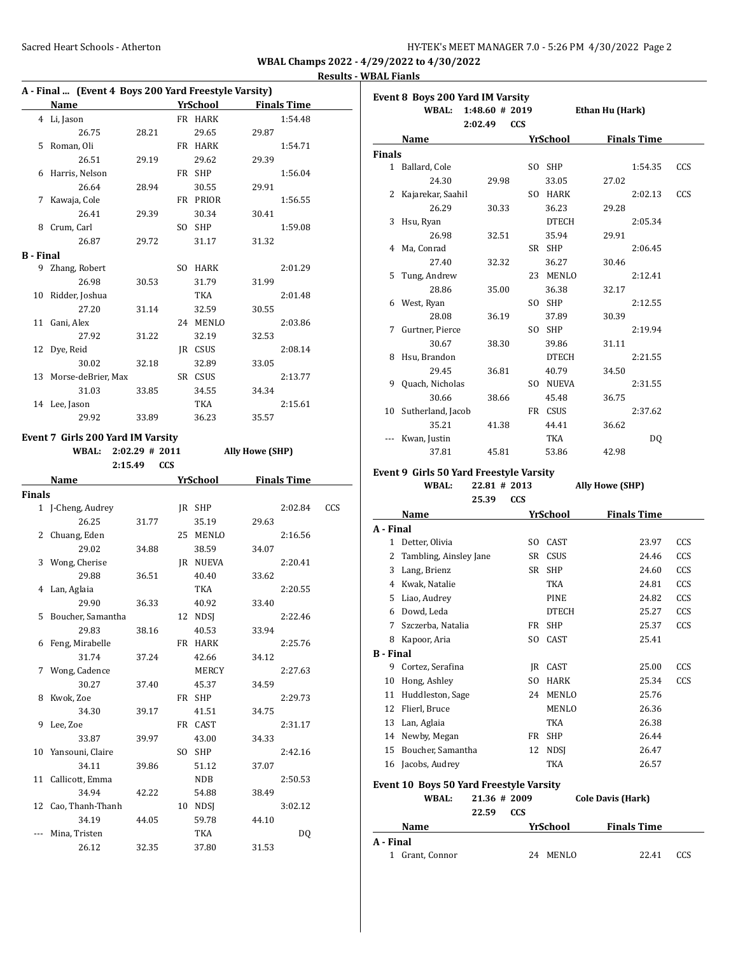|                  | A - Final  (Event 4 Boys 200 Yard Freestyle Varsity) |                  |            |                 |                        |                    |     |
|------------------|------------------------------------------------------|------------------|------------|-----------------|------------------------|--------------------|-----|
|                  | <b>Name</b>                                          |                  |            | YrSchool        |                        | <b>Finals Time</b> |     |
|                  | 4 Li, Jason                                          |                  |            | FR HARK         |                        | 1:54.48            |     |
|                  | 26.75                                                | 28.21            |            | 29.65           | 29.87                  |                    |     |
| 5                | Roman, Oli                                           |                  |            | FR HARK         |                        | 1:54.71            |     |
|                  | 26.51                                                | 29.19            |            | 29.62           | 29.39                  |                    |     |
| 6                | Harris, Nelson                                       |                  |            | FR SHP          |                        | 1:56.04            |     |
|                  | 26.64                                                | 28.94            |            | 30.55           | 29.91                  |                    |     |
| 7                | Kawaja, Cole                                         |                  |            | FR PRIOR        |                        | 1:56.55            |     |
|                  | 26.41                                                | 29.39            |            | 30.34           | 30.41                  |                    |     |
| 8                | Crum, Carl                                           |                  |            | SO SHP          |                        | 1:59.08            |     |
|                  | 26.87                                                | 29.72            |            | 31.17           | 31.32                  |                    |     |
| <b>B</b> - Final |                                                      |                  |            |                 |                        |                    |     |
|                  | 9 Zhang, Robert                                      |                  |            | SO HARK         |                        | 2:01.29            |     |
|                  | 26.98                                                | 30.53            |            | 31.79           | 31.99                  |                    |     |
| 10               | Ridder, Joshua                                       |                  |            | TKA             |                        | 2:01.48            |     |
|                  | 27.20                                                | 31.14            |            | 32.59           | 30.55                  |                    |     |
|                  | 11 Gani, Alex                                        |                  |            | 24 MENLO        |                        | 2:03.86            |     |
|                  | 27.92                                                | 31.22            |            | 32.19           | 32.53                  |                    |     |
| 12               | Dye, Reid                                            |                  |            | JR CSUS         |                        | 2:08.14            |     |
|                  | 30.02                                                | 32.18            |            | 32.89           | 33.05                  |                    |     |
|                  | 13 Morse-deBrier, Max                                |                  |            | SR CSUS         |                        | 2:13.77            |     |
|                  | 31.03                                                | 33.85            |            | 34.55           | 34.34                  |                    |     |
|                  | 14 Lee, Jason                                        |                  |            | TKA             |                        | 2:15.61            |     |
|                  | 29.92                                                | 33.89            |            | 36.23           | 35.57                  |                    |     |
|                  |                                                      |                  |            |                 |                        |                    |     |
|                  | Event 7 Girls 200 Yard IM Varsity                    |                  |            |                 |                        |                    |     |
|                  | <b>WBAL:</b>                                         | $2:02.29$ # 2011 |            |                 | <b>Ally Howe (SHP)</b> |                    |     |
|                  | 2:15.49                                              |                  | <b>CCS</b> |                 |                        |                    |     |
|                  |                                                      |                  |            |                 |                        |                    |     |
|                  | Name                                                 |                  |            | <b>YrSchool</b> |                        | <b>Finals Time</b> |     |
| <b>Finals</b>    |                                                      |                  |            |                 |                        |                    |     |
|                  | 1 J-Cheng, Audrey                                    |                  |            | JR SHP          |                        | 2:02.84            | CCS |
|                  | 26.25                                                | 31.77            |            | 35.19           | 29.63                  |                    |     |
| 2                | Chuang, Eden                                         |                  |            | 25 MENLO        |                        | 2:16.56            |     |
|                  | 29.02                                                | 34.88            |            | 38.59           | 34.07                  |                    |     |
|                  | 3 Wong, Cherise                                      |                  |            | JR NUEVA        |                        | 2:20.41            |     |
|                  | 29.88                                                | 36.51            |            | 40.40           | 33.62                  |                    |     |
| 4                | Lan, Aglaia                                          |                  |            | TKA             |                        | 2:20.55            |     |
|                  | 29.90                                                | 36.33            |            |                 |                        |                    |     |
| 5                | Boucher, Samantha                                    |                  |            | 40.92           | 33.40                  | 2:22.46            |     |
|                  |                                                      |                  |            | 12 NDSJ         |                        |                    |     |
|                  | 29.83                                                | 38.16            |            | 40.53           | 33.94                  |                    |     |
|                  | 6 Feng, Mirabelle                                    |                  |            | FR HARK         |                        | 2:25.76            |     |
|                  | 31.74                                                | 37.24            |            | 42.66           | 34.12                  |                    |     |
| 7                | Wong, Cadence                                        |                  |            | MERCY           |                        | 2:27.63            |     |
|                  | 30.27                                                | 37.40            |            | 45.37           | 34.59                  |                    |     |
| 8                | Kwok, Zoe                                            |                  |            | FR SHP          |                        | 2:29.73            |     |
|                  | 34.30                                                | 39.17            |            | 41.51           | 34.75                  |                    |     |
| 9                | Lee, Zoe                                             |                  |            | FR CAST         |                        | 2:31.17            |     |
|                  | 33.87                                                | 39.97            |            | 43.00           | 34.33                  |                    |     |
| 10               | Yansouni, Claire                                     |                  |            | SO SHP          |                        | 2:42.16            |     |
|                  | 34.11                                                | 39.86            |            | 51.12           | 37.07                  |                    |     |
| 11               | Callicott, Emma                                      |                  |            | NDB             |                        | 2:50.53            |     |
|                  | 34.94                                                | 42.22            |            | 54.88           | 38.49                  |                    |     |
| 12               | Cao, Thanh-Thanh                                     |                  |            | 10 NDSJ         |                        | 3:02.12            |     |
|                  | 34.19                                                | 44.05            |            | 59.78           | 44.10                  |                    |     |
|                  | Mina, Tristen<br>26.12                               | 32.35            |            | TKA<br>37.80    | 31.53                  | <b>DQ</b>          |     |

|                  | Event 8 Boys 200 Yard IM Varsity               |              |            |              |                        |                    |     |
|------------------|------------------------------------------------|--------------|------------|--------------|------------------------|--------------------|-----|
|                  | <b>WBAL:</b>                                   | 1:48.60#2019 |            |              | Ethan Hu (Hark)        |                    |     |
|                  |                                                | 2:02.49      | <b>CCS</b> |              |                        |                    |     |
|                  | Name                                           |              |            | YrSchool     |                        | <b>Finals Time</b> |     |
| <b>Finals</b>    |                                                |              |            |              |                        |                    |     |
| 1                | Ballard, Cole                                  |              |            | SO SHP       |                        | 1:54.35            | CCS |
|                  | 24.30                                          | 29.98        |            | 33.05        | 27.02                  |                    |     |
| 2                | Kajarekar, Saahil                              |              |            | SO HARK      |                        | 2:02.13            | CCS |
|                  | 26.29                                          | 30.33        |            | 36.23        | 29.28                  |                    |     |
| 3                | Hsu, Ryan                                      |              |            | <b>DTECH</b> |                        | 2:05.34            |     |
|                  | 26.98                                          | 32.51        |            | 35.94        | 29.91                  |                    |     |
| 4                | Ma, Conrad                                     |              |            | SR SHP       |                        | 2:06.45            |     |
|                  | 27.40                                          | 32.32        |            | 36.27        | 30.46                  |                    |     |
| 5                | Tung, Andrew                                   |              |            | 23 MENLO     |                        | 2:12.41            |     |
|                  | 28.86                                          | 35.00        |            | 36.38        | 32.17                  |                    |     |
| 6                | West, Ryan                                     |              |            | SO SHP       |                        | 2:12.55            |     |
|                  | 28.08                                          | 36.19        |            | 37.89        | 30.39                  |                    |     |
| 7                | Gurtner, Pierce                                |              |            | SO SHP       |                        | 2:19.94            |     |
|                  | 30.67                                          | 38.30        |            | 39.86        | 31.11                  |                    |     |
| 8                | Hsu, Brandon                                   |              |            | <b>DTECH</b> |                        | 2:21.55            |     |
|                  | 29.45                                          | 36.81        |            | 40.79        | 34.50                  |                    |     |
| 9                | Quach, Nicholas                                |              |            | SO NUEVA     |                        | 2:31.55            |     |
|                  | 30.66                                          | 38.66        |            | 45.48        | 36.75                  |                    |     |
| 10               | Sutherland, Jacob                              |              |            | FR CSUS      |                        | 2:37.62            |     |
|                  | 35.21                                          | 41.38        |            | 44.41        | 36.62                  |                    |     |
|                  | Kwan, Justin                                   |              |            | TKA          |                        | DQ                 |     |
|                  | 37.81                                          | 45.81        |            | 53.86        | 42.98                  |                    |     |
|                  | <b>Event 9 Girls 50 Yard Freestyle Varsity</b> |              |            |              |                        |                    |     |
|                  | WBAL:                                          | 22.81 # 2013 |            |              | <b>Ally Howe (SHP)</b> |                    |     |
|                  |                                                | 25.39        | <b>CCS</b> |              |                        |                    |     |
|                  | Name                                           |              |            | YrSchool     |                        | <b>Finals Time</b> |     |
| A - Final        |                                                |              |            |              |                        |                    |     |
| $\mathbf{1}$     | Detter, Olivia                                 |              |            | SO CAST      |                        | 23.97              | CCS |
| 2                | Tambling, Ainsley Jane                         |              |            | SR CSUS      |                        | 24.46              | CCS |
| 3                | Lang, Brienz                                   |              |            | SR SHP       |                        | 24.60              | CCS |
|                  | 4 Kwak, Natalie                                |              |            | TKA          |                        | 24.81              | CCS |
| 5                | Liao, Audrey                                   |              |            | <b>PINE</b>  |                        | 24.82              | CCS |
|                  | 6 Dowd, Leda                                   |              |            | <b>DTECH</b> |                        | 25.27              | CCS |
| $7^{\circ}$      | Szczerba, Natalia                              |              |            | FR SHP       |                        | 25.37              | CCS |
| 8                | Kapoor, Aria                                   |              |            | SO CAST      |                        | 25.41              |     |
| <b>B</b> - Final |                                                |              |            |              |                        |                    |     |
| 9                | Cortez, Serafina                               |              |            | CAST<br>JR.  |                        | 25.00              | CCS |
| 10               | Hong, Ashley                                   |              | SO.        | HARK         |                        | 25.34              | CCS |
| 11               | Huddleston, Sage                               |              | 24         | MENLO        |                        | 25.76              |     |
| 12               | Flierl, Bruce                                  |              |            | <b>MENLO</b> |                        | 26.36              |     |
| 13               | Lan, Aglaia                                    |              |            | <b>TKA</b>   |                        | 26.38              |     |
| 14               | Newby, Megan                                   |              | FR         | SHP          |                        | 26.44              |     |
| 15               | Boucher, Samantha                              |              | 12         | <b>NDSJ</b>  |                        | 26.47              |     |
| 16               | Jacobs, Audrey                                 |              |            | TKA          |                        | 26.57              |     |
|                  |                                                |              |            |              |                        |                    |     |

| <b>Event 10 Boys 50 Yard Freestyle Varsity</b> |              |                    |                          |     |  |  |  |  |
|------------------------------------------------|--------------|--------------------|--------------------------|-----|--|--|--|--|
| WBAL:                                          | 21.36 # 2009 |                    | <b>Cole Davis (Hark)</b> |     |  |  |  |  |
|                                                | 22.59        | <b>CCS</b>         |                          |     |  |  |  |  |
| Name                                           |              | YrSchool           | <b>Finals Time</b>       |     |  |  |  |  |
| A - Final                                      |              |                    |                          |     |  |  |  |  |
| Grant, Connor                                  |              | <b>MENLO</b><br>24 | 22.41                    | CCS |  |  |  |  |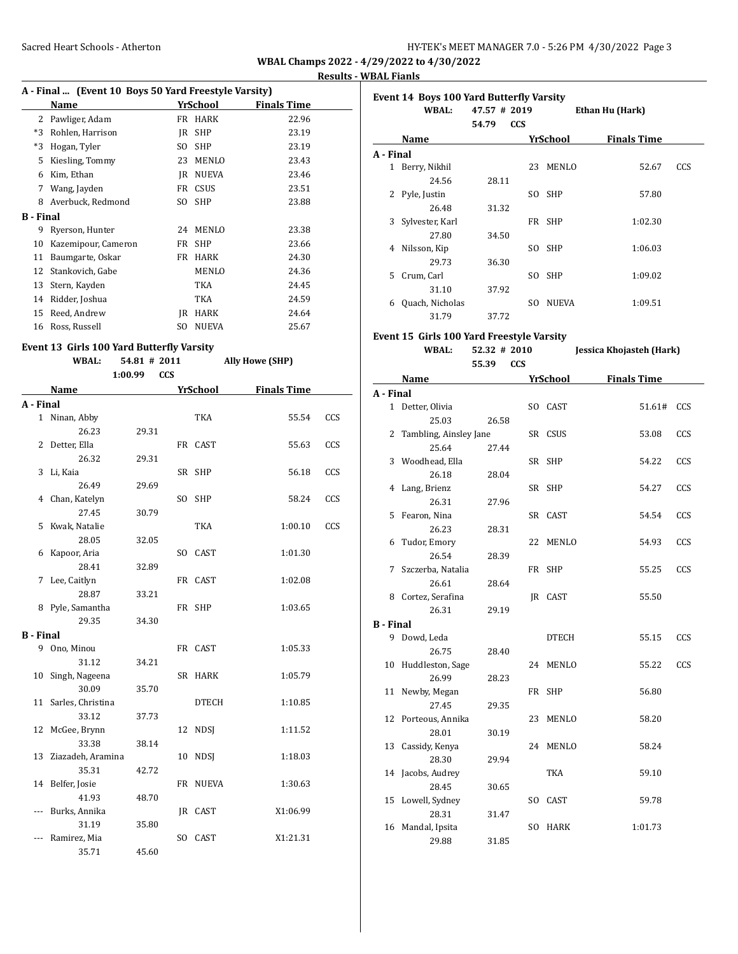# **Results - WBAL Fianls**

| A - Final  (Event 10 Boys 50 Yard Freestyle Varsity) |                     |     |              |                    |  |  |  |  |
|------------------------------------------------------|---------------------|-----|--------------|--------------------|--|--|--|--|
|                                                      | Name                |     | YrSchool     | <b>Finals Time</b> |  |  |  |  |
| 2                                                    | Pawliger, Adam      | FR  | <b>HARK</b>  | 22.96              |  |  |  |  |
| $*3$                                                 | Rohlen, Harrison    | IR  | <b>SHP</b>   | 23.19              |  |  |  |  |
| *3                                                   | Hogan, Tyler        | SO. | <b>SHP</b>   | 23.19              |  |  |  |  |
| 5                                                    | Kiesling, Tommy     | 23  | MENLO        | 23.43              |  |  |  |  |
| 6                                                    | Kim, Ethan          | IR  | <b>NUEVA</b> | 23.46              |  |  |  |  |
| 7                                                    | Wang, Jayden        | FR  | <b>CSUS</b>  | 23.51              |  |  |  |  |
| 8                                                    | Averbuck, Redmond   | SO  | <b>SHP</b>   | 23.88              |  |  |  |  |
| B - Final                                            |                     |     |              |                    |  |  |  |  |
| 9                                                    | Ryerson, Hunter     | 24  | MENLO        | 23.38              |  |  |  |  |
| 10                                                   | Kazemipour, Cameron | FR  | <b>SHP</b>   | 23.66              |  |  |  |  |
| 11                                                   | Baumgarte, Oskar    | FR  | <b>HARK</b>  | 24.30              |  |  |  |  |
| 12                                                   | Stankovich, Gabe    |     | MENLO        | 24.36              |  |  |  |  |
| 13                                                   | Stern, Kayden       |     | TKA          | 24.45              |  |  |  |  |
| 14                                                   | Ridder, Joshua      |     | TKA          | 24.59              |  |  |  |  |
| 15                                                   | Reed, Andrew        | IR  | HARK         | 24.64              |  |  |  |  |
| 16                                                   | Ross, Russell       | SO  | <b>NUEVA</b> | 25.67              |  |  |  |  |

# **Event 13 Girls 100 Yard Butterfly Varsity**

|                  | <b>WBAL:</b>      | rara Batterny var brey<br>54.81 # 2011 |     |              | <b>Ally Howe (SHP)</b> |     |
|------------------|-------------------|----------------------------------------|-----|--------------|------------------------|-----|
|                  |                   | <b>CCS</b><br>1:00.99                  |     |              |                        |     |
|                  | Name              |                                        |     | YrSchool     | <b>Finals Time</b>     |     |
| A - Final        |                   |                                        |     |              |                        |     |
|                  | 1 Ninan, Abby     |                                        |     | <b>TKA</b>   | 55.54                  | CCS |
|                  | 26.23             | 29.31                                  |     |              |                        |     |
| 2                | Detter, Ella      |                                        |     | FR CAST      | 55.63                  | CCS |
|                  | 26.32             | 29.31                                  |     |              |                        |     |
| 3                | Li, Kaia          |                                        |     | SR SHP       | 56.18                  | CCS |
|                  | 26.49             | 29.69                                  |     |              |                        |     |
| 4                | Chan, Katelyn     |                                        | SO. | SHP          | 58.24                  | CCS |
|                  | 27.45             | 30.79                                  |     |              |                        |     |
| 5                | Kwak, Natalie     |                                        |     | <b>TKA</b>   | 1:00.10                | CCS |
|                  | 28.05             | 32.05                                  |     |              |                        |     |
| 6                | Kapoor, Aria      |                                        |     | SO CAST      | 1:01.30                |     |
|                  | 28.41             | 32.89                                  |     |              |                        |     |
| 7                | Lee, Caitlyn      |                                        |     | FR CAST      | 1:02.08                |     |
|                  | 28.87             | 33.21                                  |     |              |                        |     |
|                  | 8 Pyle, Samantha  |                                        |     | FR SHP       | 1:03.65                |     |
|                  | 29.35             | 34.30                                  |     |              |                        |     |
| <b>B</b> - Final |                   |                                        |     |              |                        |     |
|                  | 9 Ono, Minou      |                                        |     | FR CAST      | 1:05.33                |     |
|                  | 31.12             | 34.21                                  |     |              |                        |     |
| 10               | Singh, Nageena    |                                        |     | SR HARK      | 1:05.79                |     |
|                  | 30.09             | 35.70                                  |     |              |                        |     |
| 11               | Sarles, Christina |                                        |     | <b>DTECH</b> | 1:10.85                |     |
|                  | 33.12             | 37.73                                  |     |              |                        |     |
| 12               | McGee, Brynn      |                                        | 12  | <b>NDSI</b>  | 1:11.52                |     |
|                  | 33.38             | 38.14                                  |     |              |                        |     |
| 13               | Ziazadeh, Aramina |                                        | 10  | <b>NDSJ</b>  | 1:18.03                |     |
|                  | 35.31             | 42.72                                  |     |              |                        |     |
| 14               | Belfer, Josie     |                                        |     | FR NUEVA     | 1:30.63                |     |
|                  | 41.93             | 48.70                                  |     |              |                        |     |
| ---              | Burks, Annika     |                                        |     | JR CAST      | X1:06.99               |     |
|                  | 31.19             | 35.80                                  |     |              |                        |     |
| ---              | Ramirez, Mia      |                                        | SO. | CAST         | X1:21.31               |     |
|                  | 35.71             | 45.60                                  |     |              |                        |     |
|                  |                   |                                        |     |              |                        |     |

|           | <b>Event 14 Boys 100 Yard Butterfly Varsity</b> |                     |     |                 |                    |     |  |  |  |  |
|-----------|-------------------------------------------------|---------------------|-----|-----------------|--------------------|-----|--|--|--|--|
|           | WBAL:                                           | 47.57 # 2019        |     | Ethan Hu (Hark) |                    |     |  |  |  |  |
|           |                                                 | <b>CCS</b><br>54.79 |     |                 |                    |     |  |  |  |  |
|           | Name                                            |                     |     | YrSchool        | <b>Finals Time</b> |     |  |  |  |  |
| A - Final |                                                 |                     |     |                 |                    |     |  |  |  |  |
| 1         | Berry, Nikhil                                   |                     | 23  | MENLO           | 52.67              | CCS |  |  |  |  |
|           | 24.56                                           | 28.11               |     |                 |                    |     |  |  |  |  |
| 2         | Pyle, Justin                                    |                     | SO. | -SHP            | 57.80              |     |  |  |  |  |
|           | 26.48                                           | 31.32               |     |                 |                    |     |  |  |  |  |
| 3         | Sylvester, Karl                                 |                     |     | FR SHP          | 1:02.30            |     |  |  |  |  |
|           | 27.80                                           | 34.50               |     |                 |                    |     |  |  |  |  |
| 4         | Nilsson, Kip                                    |                     | SO. | -SHP            | 1:06.03            |     |  |  |  |  |
|           | 29.73                                           | 36.30               |     |                 |                    |     |  |  |  |  |
| 5.        | Crum, Carl                                      |                     | SO. | <b>SHP</b>      | 1:09.02            |     |  |  |  |  |
|           | 31.10                                           | 37.92               |     |                 |                    |     |  |  |  |  |
| 6         | Quach, Nicholas                                 |                     | SO. | <b>NUEVA</b>    | 1:09.51            |     |  |  |  |  |
|           | 31.79                                           | 37.72               |     |                 |                    |     |  |  |  |  |

# **Event 15 Girls 100 Yard Freestyle Varsity**

|                  | <b>WBAL:</b>             | anis 100 iaru rreese, ie varsie,<br>52.32 # 2010 |    |              | Jessica Khojasteh (Hark) |  |  |
|------------------|--------------------------|--------------------------------------------------|----|--------------|--------------------------|--|--|
|                  |                          | <b>CCS</b><br>55.39                              |    |              |                          |  |  |
| A - Final        | Name                     |                                                  |    |              | YrSchool Finals Time     |  |  |
|                  | 1 Detter, Olivia         |                                                  |    | SO CAST      | 51.61#<br>CCS            |  |  |
|                  | 25.03                    | 26.58                                            |    |              |                          |  |  |
|                  | 2 Tambling, Ainsley Jane |                                                  |    | SR CSUS      | 53.08<br>CCS             |  |  |
|                  | 25.64                    | 27.44                                            |    |              |                          |  |  |
|                  | 3 Woodhead, Ella         |                                                  |    | SR SHP       | 54.22<br>CCS             |  |  |
|                  | 26.18                    | 28.04                                            |    |              |                          |  |  |
|                  | 4 Lang, Brienz           |                                                  |    | SR SHP       | 54.27<br>CCS             |  |  |
|                  | 26.31                    | 27.96                                            |    |              |                          |  |  |
|                  | 5 Fearon, Nina           |                                                  |    | SR CAST      | CCS<br>54.54             |  |  |
|                  | 26.23                    | 28.31                                            |    |              |                          |  |  |
|                  | 6 Tudor, Emory           |                                                  | 22 | MENLO        | 54.93<br>CCS             |  |  |
|                  | 26.54                    | 28.39                                            |    |              |                          |  |  |
|                  | 7 Szczerba, Natalia      |                                                  |    | FR SHP       | 55.25<br>CCS             |  |  |
|                  | 26.61                    | 28.64                                            |    |              |                          |  |  |
|                  | 8 Cortez, Serafina       |                                                  |    | JR CAST      | 55.50                    |  |  |
|                  | 26.31                    | 29.19                                            |    |              |                          |  |  |
| <b>B</b> - Final |                          |                                                  |    |              |                          |  |  |
|                  | 9 Dowd, Leda             |                                                  |    | <b>DTECH</b> | 55.15<br>CCS             |  |  |
|                  | 26.75                    | 28.40                                            |    |              |                          |  |  |
|                  | 10 Huddleston, Sage      |                                                  | 24 | MENLO        | 55.22<br>CCS             |  |  |
|                  | 26.99                    | 28.23                                            |    |              |                          |  |  |
|                  | 11 Newby, Megan          |                                                  |    | FR SHP       | 56.80                    |  |  |
|                  | 27.45                    | 29.35                                            |    |              |                          |  |  |
| 12               | Porteous, Annika         |                                                  | 23 | MENLO        | 58.20                    |  |  |
|                  | 28.01                    | 30.19                                            |    |              |                          |  |  |
| 13               | Cassidy, Kenya           |                                                  | 24 | MENLO        | 58.24                    |  |  |
|                  | 28.30                    | 29.94                                            |    |              |                          |  |  |
|                  | 14 Jacobs, Audrey        |                                                  |    | TKA          | 59.10                    |  |  |
|                  | 28.45                    | 30.65                                            |    |              |                          |  |  |
|                  | 15 Lowell, Sydney        |                                                  |    | SO CAST      | 59.78                    |  |  |
|                  | 28.31                    | 31.47                                            |    |              |                          |  |  |
|                  | 16 Mandal, Ipsita        |                                                  | SO | HARK         | 1:01.73                  |  |  |
|                  | 29.88                    | 31.85                                            |    |              |                          |  |  |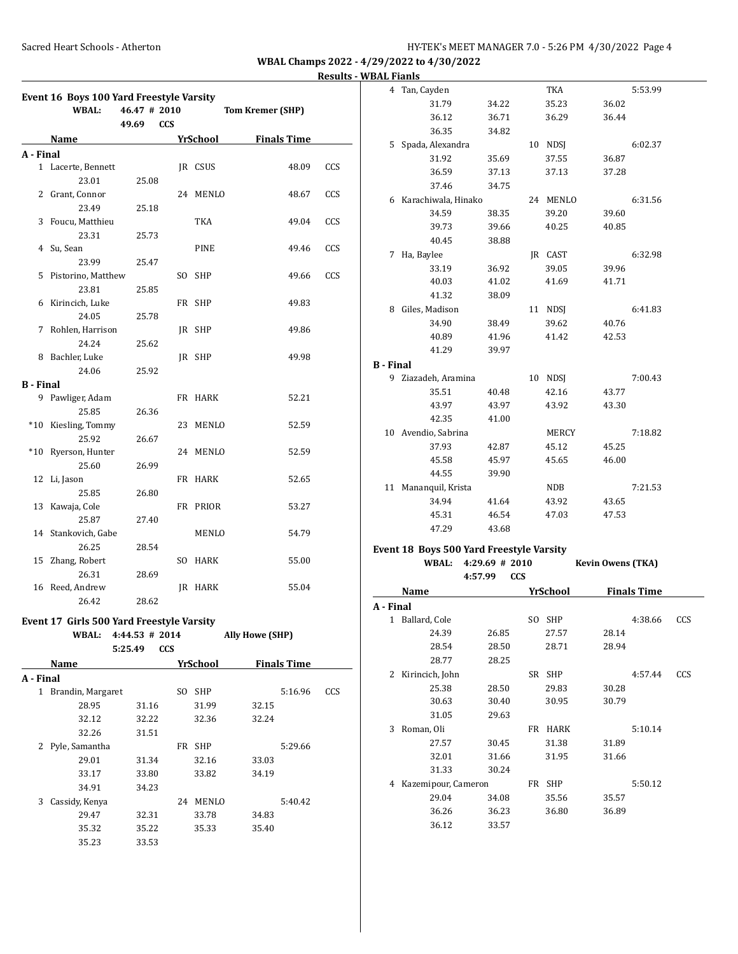|                  |                                                   |                       |                |                             | <u>incourts</u> |
|------------------|---------------------------------------------------|-----------------------|----------------|-----------------------------|-----------------|
|                  | Event 16 Boys 100 Yard Freestyle Varsity<br>WBAL: | 46.47 # 2010          |                | <b>Tom Kremer (SHP)</b>     |                 |
|                  |                                                   | 49.69<br><b>CCS</b>   |                |                             |                 |
|                  | Name                                              |                       |                | <b>YrSchool</b> Finals Time |                 |
| A - Final        |                                                   |                       |                |                             |                 |
|                  | 1 Lacerte, Bennett                                |                       | JR CSUS        | 48.09                       | CCS             |
|                  | 23.01                                             | 25.08                 |                |                             |                 |
|                  | 2 Grant, Connor                                   |                       | 24 MENLO       | 48.67                       | CCS             |
|                  | 23.49                                             | 25.18                 |                |                             |                 |
|                  | 3 Foucu, Matthieu                                 |                       | TKA            | 49.04                       | CCS             |
|                  | 23.31                                             | 25.73                 |                |                             |                 |
|                  | 4 Su, Sean                                        |                       | PINE           | 49.46                       | CCS             |
|                  | 23.99                                             | 25.47                 |                |                             |                 |
|                  | 5 Pistorino, Matthew                              |                       | SO SHP         | 49.66                       | CCS             |
|                  | 23.81                                             | 25.85                 |                |                             |                 |
|                  | 6 Kirincich, Luke                                 |                       | FR SHP         | 49.83                       |                 |
|                  | 24.05                                             | 25.78                 |                |                             |                 |
| 7                | Rohlen, Harrison                                  |                       | JR SHP         | 49.86                       |                 |
|                  | 24.24                                             |                       |                |                             |                 |
|                  | 8 Bachler, Luke                                   | 25.62                 |                |                             |                 |
|                  |                                                   |                       | JR SHP         | 49.98                       |                 |
|                  | 24.06                                             | 25.92                 |                |                             |                 |
| <b>B</b> - Final |                                                   |                       |                |                             |                 |
| 9                | Pawliger, Adam                                    |                       | FR HARK        | 52.21                       |                 |
|                  | 25.85                                             | 26.36                 |                |                             |                 |
|                  | *10 Kiesling, Tommy                               |                       | 23 MENLO       | 52.59                       |                 |
|                  | 25.92                                             | 26.67                 |                |                             |                 |
|                  | *10 Ryerson, Hunter                               |                       | 24 MENLO       | 52.59                       |                 |
|                  | 25.60                                             | 26.99                 |                |                             |                 |
|                  | 12 Li, Jason                                      |                       | FR HARK        | 52.65                       |                 |
|                  | 25.85                                             | 26.80                 |                |                             |                 |
|                  | 13 Kawaja, Cole                                   |                       | FR PRIOR       | 53.27                       |                 |
|                  | 25.87                                             | 27.40                 |                |                             |                 |
|                  | 14 Stankovich, Gabe                               |                       | MENLO          | 54.79                       |                 |
|                  | 26.25                                             | 28.54                 |                |                             |                 |
|                  | 15 Zhang, Robert                                  |                       | SO HARK        | 55.00                       |                 |
|                  | 26.31                                             | 28.69                 |                |                             |                 |
|                  | 16 Reed, Andrew                                   |                       | <b>IR HARK</b> | 55.04                       |                 |
|                  | 26.42                                             | 28.62                 |                |                             |                 |
|                  |                                                   |                       |                |                             |                 |
|                  | Event 17 Girls 500 Yard Freestyle Varsity         |                       |                |                             |                 |
|                  | <b>WBAL:</b>                                      | 4:44.53 # 2014        |                | <b>Ally Howe (SHP)</b>      |                 |
|                  |                                                   | 5:25.49<br><b>CCS</b> |                |                             |                 |
|                  | Name                                              |                       | YrSchool       | <b>Finals Time</b>          |                 |
| A - Final        |                                                   |                       |                |                             |                 |
|                  | 1 Brandin, Margaret                               |                       | SO SHP         | 5:16.96                     | CCS             |
|                  | 28.95                                             | 31.16                 | 31.99          | 32.15                       |                 |
|                  | 32.12                                             | 32.22                 | 32.36          | 32.24                       |                 |
|                  | 32.26                                             | 31.51                 |                |                             |                 |
|                  | 2 Pyle, Samantha                                  |                       | FR SHP         | 5:29.66                     |                 |
|                  | 29.01                                             | 31.34                 | 32.16          | 33.03                       |                 |
|                  | 33.17                                             | 33.80                 | 33.82          | 34.19                       |                 |
|                  | 34.91                                             | 34.23                 |                |                             |                 |
| 3                | Cassidy, Kenya                                    |                       | 24 MENLO       | 5:40.42                     |                 |
|                  | 29.47                                             | 32.31                 | 33.78          | 34.83                       |                 |
|                  | 35.32                                             | 35.22                 | 35.33          | 35.40                       |                 |
|                  | 35.23                                             | 33.53                 |                |                             |                 |
|                  |                                                   |                       |                |                             |                 |

|                  | 4 Tan, Cayden                                     |                  |    | TKA             | 5:53.99                  |     |
|------------------|---------------------------------------------------|------------------|----|-----------------|--------------------------|-----|
|                  | 31.79                                             | 34.22            |    | 35.23           | 36.02                    |     |
|                  | 36.12                                             | 36.71            |    | 36.29           | 36.44                    |     |
|                  | 36.35                                             | 34.82            |    |                 |                          |     |
|                  | 5 Spada, Alexandra                                |                  |    | 10 NDSJ         | 6:02.37                  |     |
|                  | 31.92                                             | 35.69            |    | 37.55           | 36.87                    |     |
|                  | 36.59                                             | 37.13            |    | 37.13           | 37.28                    |     |
|                  | 37.46                                             | 34.75            |    |                 |                          |     |
|                  | 6 Karachiwala, Hinako                             |                  |    | 24 MENLO        | 6:31.56                  |     |
|                  | 34.59                                             | 38.35            |    | 39.20           | 39.60                    |     |
|                  | 39.73                                             | 39.66            |    | 40.25           | 40.85                    |     |
|                  | 40.45                                             | 38.88            |    |                 |                          |     |
| 7                | Ha, Baylee                                        |                  |    | IR CAST         | 6:32.98                  |     |
|                  | 33.19                                             | 36.92            |    | 39.05           | 39.96                    |     |
|                  |                                                   |                  |    |                 |                          |     |
|                  | 40.03                                             | 41.02            |    | 41.69           | 41.71                    |     |
|                  | 41.32                                             | 38.09            |    |                 |                          |     |
|                  | 8 Giles, Madison                                  |                  |    | 11 NDSJ         | 6:41.83                  |     |
|                  | 34.90                                             | 38.49            |    | 39.62           | 40.76                    |     |
|                  | 40.89                                             | 41.96            |    | 41.42           | 42.53                    |     |
|                  | 41.29                                             | 39.97            |    |                 |                          |     |
| <b>B</b> - Final |                                                   |                  |    |                 |                          |     |
| 9                | Ziazadeh, Aramina                                 |                  | 10 | NDSJ            | 7:00.43                  |     |
|                  | 35.51                                             | 40.48            |    | 42.16           | 43.77                    |     |
|                  | 43.97                                             | 43.97            |    | 43.92           | 43.30                    |     |
|                  | 42.35                                             | 41.00            |    |                 |                          |     |
|                  | 10 Avendio, Sabrina                               |                  |    | MERCY           | 7:18.82                  |     |
|                  | 37.93                                             | 42.87            |    | 45.12           | 45.25                    |     |
|                  | 45.58                                             | 45.97            |    | 45.65           | 46.00                    |     |
|                  | 44.55                                             | 39.90            |    |                 |                          |     |
|                  | 11 Mananquil, Krista                              |                  |    | NDB             | 7:21.53                  |     |
|                  | 34.94                                             | 41.64            |    | 43.92           | 43.65                    |     |
|                  | 45.31                                             | 46.54            |    | 47.03           | 47.53                    |     |
|                  | 47.29                                             | 43.68            |    |                 |                          |     |
|                  |                                                   |                  |    |                 |                          |     |
|                  | Event 18 Boys 500 Yard Freestyle Varsity<br>WBAL: | $4:29.69$ # 2010 |    |                 | <b>Kevin Owens (TKA)</b> |     |
|                  |                                                   | <b>CCS</b>       |    |                 |                          |     |
|                  |                                                   | 4:57.99          |    |                 |                          |     |
|                  | Name                                              |                  |    | <b>YrSchool</b> | <b>Finals Time</b>       |     |
| A - Final        |                                                   |                  |    |                 |                          |     |
|                  | 1 Ballard, Cole                                   |                  |    | SO SHP          | 4:38.66                  | CCS |
|                  | 24.39                                             | 26.85            |    | 27.57           | 28.14                    |     |
|                  | 28.54                                             | 28.50            |    | 28.71           | 28.94                    |     |
|                  | 28.77                                             | 28.25            |    |                 |                          |     |
| 2                | Kirincich, John                                   |                  |    | SR SHP          | 4:57.44                  | CCS |
|                  | 25.38                                             | 28.50            |    | 29.83           | 30.28                    |     |
|                  | 30.63                                             | 30.40            |    | 30.95           | 30.79                    |     |
|                  | 31.05                                             | 29.63            |    |                 |                          |     |
| 3                | Roman, Oli                                        |                  |    | FR HARK         | 5:10.14                  |     |
|                  | 27.57                                             | 30.45            |    | 31.38           | 31.89                    |     |
|                  | 32.01                                             | 31.66            |    | 31.95           | 31.66                    |     |
|                  | 31.33                                             | 30.24            |    |                 |                          |     |
|                  | 4 Kazemipour, Cameron                             |                  |    | FR SHP          | 5:50.12                  |     |
|                  |                                                   |                  |    |                 |                          |     |
|                  | 29.04                                             | 34.08            |    | 35.56           | 35.57                    |     |

36.12 33.57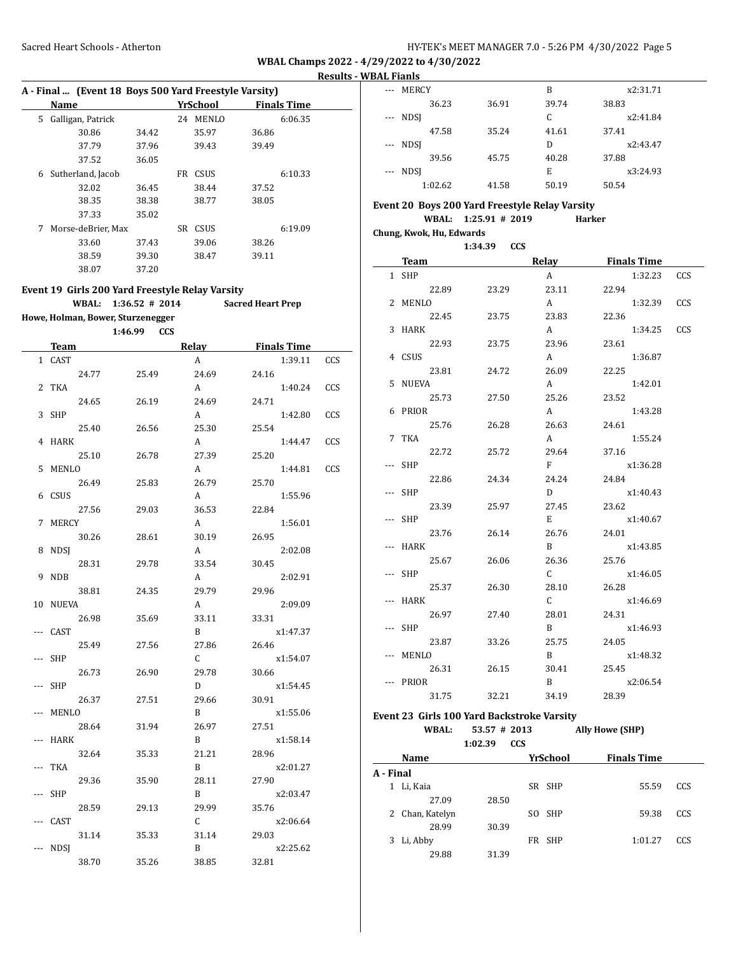#### **Results - WBAL Fianls**

|    | A - Final  (Event 18 Boys 500 Yard Freestyle Varsity) |                    |       |          |              |       |                    |
|----|-------------------------------------------------------|--------------------|-------|----------|--------------|-------|--------------------|
|    | Name                                                  |                    |       | YrSchool |              |       | <b>Finals Time</b> |
| 5. |                                                       | Galligan, Patrick  |       | 24       | <b>MENLO</b> |       | 6:06.35            |
|    |                                                       | 30.86              | 34.42 |          | 35.97        | 36.86 |                    |
|    |                                                       | 37.79              | 37.96 |          | 39.43        | 39.49 |                    |
|    |                                                       | 37.52              | 36.05 |          |              |       |                    |
| 6  |                                                       | Sutherland, Jacob  |       | FR       | <b>CSUS</b>  |       | 6:10.33            |
|    |                                                       | 32.02              | 36.45 |          | 38.44        | 37.52 |                    |
|    |                                                       | 38.35              | 38.38 |          | 38.77        | 38.05 |                    |
|    |                                                       | 37.33              | 35.02 |          |              |       |                    |
| 7  |                                                       | Morse-deBrier, Max |       | SR       | <b>CSUS</b>  |       | 6:19.09            |
|    |                                                       | 33.60              | 37.43 |          | 39.06        | 38.26 |                    |
|    |                                                       | 38.59              | 39.30 |          | 38.47        | 39.11 |                    |
|    |                                                       | 38.07              | 37.20 |          |              |       |                    |

**Event 19 Girls 200 Yard Freestyle Relay Varsity WBAL: 1:36.52 # 2014 Sacred Heart Prep Howe, Holman, Bower, Sturzenegger 1:46.99 CCS Team Relay Finals Time** 1 CAST A 1:39.11 CCS 24.77 25.49 24.69 24.16 2 TKA 2 2 A 2 1:40.24 CCS 24.65 26.19 24.69 24.71 3 SHP A 1:42.80 CCS 25.40 26.56 25.30 25.54 4 HARK A 1:44.47 CCS 25.10 26.78 27.39 25.20 5 MENLO A 1:44.81 CCS 26.49 25.83 26.79 25.70

6 CSUS A 1:55.96 27.56 29.03 36.53 22.84 7 MERCY **A** 1:56.01 30.26 28.61 30.19 26.95 8 NDSJ A 2:02.08 28.31 29.78 33.54 30.45 9 NDB A 2:02.91 38.81 24.35 29.79 29.96 10 NUEVA A 2:09.09 26.98 35.69 33.11 33.31 -- CAST B x1:47.37 25.49 27.56 27.86 26.46 -- SHP C x1:54.07 26.73 26.90 29.78 30.66 -- SHP D x1:54.45 26.37 27.51 29.66 30.91 -- MENLO B x1:55.06 28.64 31.94 26.97 27.51 -- HARK B x1:58.14 32.64 35.33 21.21 28.96 -- TKA B x2:01.27 29.36 35.90 28.11 27.90 -- SHP B x2:03.47 28.59 29.13 29.99 35.76 -- CAST C x2:06.64 31.14 35.33 31.14 29.03 -- NDSJ B x2:25.62 38.70 35.26 38.85 32.81

| <b>MERCY</b><br>$---$   |       | B     | x2:31.71 |
|-------------------------|-------|-------|----------|
| 36.23                   | 36.91 | 39.74 | 38.83    |
| <b>NDSI</b><br>$\cdots$ |       | C     | x2:41.84 |
| 47.58                   | 35.24 | 41.61 | 37.41    |
| --- NDSI                |       | D     | x2:43.47 |
| 39.56                   | 45.75 | 40.28 | 37.88    |
| --- NDSI                |       | E     | x3:24.93 |
| 1:02.62                 | 41.58 | 50.19 | 50.54    |

# **Event 20 Boys 200 Yard Freestyle Relay Varsity**

# **WBAL: 1:25.91 # 2019 Harker**

**Chung, Kwok, Hu, Edwards**

|     |             | 1:34.39 CCS |                |                    |     |
|-----|-------------|-------------|----------------|--------------------|-----|
|     | <b>Team</b> |             | Relay          | <b>Finals Time</b> |     |
|     | 1 SHP       |             | A              | 1:32.23            | CCS |
|     | 22.89       | 23.29       | 23.11          | 22.94              |     |
|     | 2 MENLO     |             | A              | 1:32.39            | CCS |
|     | 22.45       | 23.75       | 23.83          | 22.36              |     |
|     | 3 HARK      |             | A              | 1:34.25            | CCS |
|     | 22.93       | 23.75       | 23.96          | 23.61              |     |
|     | 4 CSUS      |             | A              | 1:36.87            |     |
|     | 23.81       | 24.72       | 26.09          | 22.25              |     |
|     | 5 NUEVA     |             | A              | 1:42.01            |     |
|     | 25.73       | 27.50       | 25.26          | 23.52              |     |
|     | 6 PRIOR     |             | A              | 1:43.28            |     |
|     | 25.76       | 26.28       | 26.63          | 24.61              |     |
|     | 7 TKA       |             | A              | 1:55.24            |     |
|     | 22.72       | 25.72       | 29.64          | 37.16              |     |
|     | --- SHP     |             | $F$ and $F$    | x1:36.28           |     |
|     | 22.86       | 24.34       | 24.24          | 24.84              |     |
|     | --- SHP     |             | D              | x1:40.43           |     |
|     | 23.39       | 25.97       | 27.45          | 23.62              |     |
|     | SHP         |             | E.             | x1:40.67           |     |
|     | 23.76       | 26.14       | 26.76          | 24.01              |     |
|     | --- HARK    |             | B <sub>a</sub> | x1:43.85           |     |
|     | 25.67       | 26.06       | 26.36          | 25.76              |     |
|     | --- SHP     |             | $\mathbf{C}$   | x1:46.05           |     |
|     | 25.37       | 26.30       | 28.10          | 26.28              |     |
| --- | HARK        |             | C.             | x1:46.69           |     |
|     | 26.97       | 27.40       | 28.01          | 24.31              |     |
|     | --- SHP     |             | B.             | x1:46.93           |     |
|     | 23.87       | 33.26       | 25.75          | 24.05              |     |
|     | MENLO       |             | B              | x1:48.32           |     |
|     | 26.31       | 26.15       | 30.41          | 25.45              |     |
|     | PRIOR       |             | B              | x2:06.54           |     |
|     | 31.75       | 32.21       | 34.19          | 28.39              |     |

#### **Event 23 Girls 100 Yard Backstroke Varsity**

#### **WBAL: 53.57 # 2013 Ally Howe (SHP) 1:02.39 CCS**

|           |                 | 1.V <i>L.J.</i> | ື   |          |                    |     |
|-----------|-----------------|-----------------|-----|----------|--------------------|-----|
|           | Name            |                 |     | YrSchool | <b>Finals Time</b> |     |
| A - Final |                 |                 |     |          |                    |     |
|           | Li, Kaia        |                 |     | SR SHP   | 55.59              | CCS |
|           | 27.09           | 28.50           |     |          |                    |     |
|           | 2 Chan, Katelyn |                 | SO. | SHP      | 59.38              | CCS |
|           | 28.99           | 30.39           |     |          |                    |     |
| 3         | Li, Abby        |                 |     | FR SHP   | 1:01.27            | CCS |
|           | 29.88           | 31.39           |     |          |                    |     |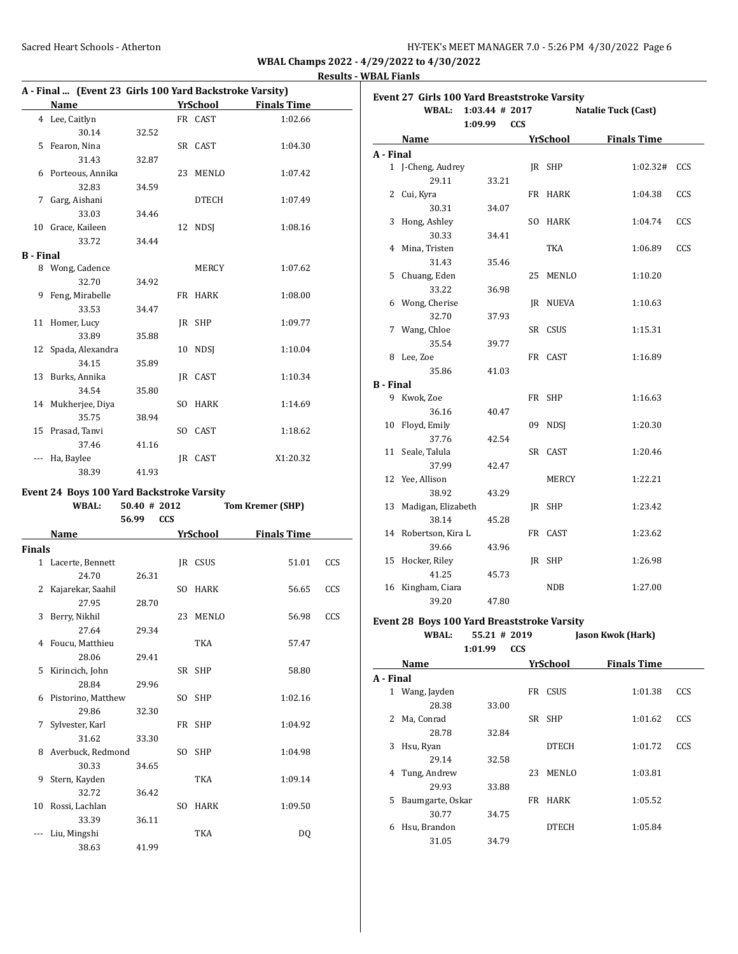### **Results - WBAL Fianls**

| A - Final  (Event 23 Girls 100 Yard Backstroke Varsity) |                    |       |           |              |                    |
|---------------------------------------------------------|--------------------|-------|-----------|--------------|--------------------|
|                                                         | Name               |       |           | YrSchool     | <b>Finals Time</b> |
|                                                         | 4 Lee, Caitlyn     |       |           | FR CAST      | 1:02.66            |
|                                                         | 30.14              | 32.52 |           |              |                    |
| 5                                                       | Fearon, Nina       |       |           | SR CAST      | 1:04.30            |
|                                                         | 31.43              | 32.87 |           |              |                    |
| 6                                                       | Porteous, Annika   |       | 23        | MENLO        | 1:07.42            |
|                                                         | 32.83              | 34.59 |           |              |                    |
| 7                                                       | Garg, Aishani      |       |           | <b>DTECH</b> | 1:07.49            |
|                                                         | 33.03              | 34.46 |           |              |                    |
| 10                                                      | Grace, Kaileen     |       | 12        | <b>NDSI</b>  | 1:08.16            |
|                                                         | 33.72              | 34.44 |           |              |                    |
| B - Final                                               |                    |       |           |              |                    |
| 8                                                       | Wong, Cadence      |       |           | MERCY        | 1:07.62            |
|                                                         | 32.70              | 34.92 |           |              |                    |
| 9                                                       | Feng, Mirabelle    |       |           | FR HARK      | 1:08.00            |
|                                                         | 33.53              | 34.47 |           |              |                    |
| 11                                                      | Homer, Lucy        |       |           | IR SHP       | 1:09.77            |
|                                                         | 33.89              | 35.88 |           |              |                    |
| 12                                                      | Spada, Alexandra   |       | 10        | <b>NDSI</b>  | 1:10.04            |
|                                                         | 34.15              | 35.89 |           |              |                    |
| 13                                                      | Burks, Annika      |       |           | IR CAST      | 1:10.34            |
|                                                         | 34.54              | 35.80 |           |              |                    |
|                                                         | 14 Mukherjee, Diya |       |           | SO HARK      | 1:14.69            |
|                                                         | 35.75              | 38.94 |           |              |                    |
|                                                         | 15 Prasad, Tanvi   |       | SO.       | CAST         | 1:18.62            |
|                                                         | 37.46              | 41.16 |           |              |                    |
|                                                         | Ha, Baylee         |       | <b>IR</b> | CAST         | X1:20.32           |
|                                                         | 38.39              | 41.93 |           |              |                    |

### **Event 24 Boys 100 Yard Backstroke Varsity**

|               | <b>WBAL:</b>       | 50.40 # 2012        |     | <b>Tom Kremer (SHP)</b> |                    |     |
|---------------|--------------------|---------------------|-----|-------------------------|--------------------|-----|
|               |                    | <b>CCS</b><br>56.99 |     |                         |                    |     |
|               | Name               |                     |     | YrSchool                | <b>Finals Time</b> |     |
| <b>Finals</b> |                    |                     |     |                         |                    |     |
|               | 1 Lacerte, Bennett |                     |     | IR CSUS                 | 51.01              | CCS |
|               | 24.70              | 26.31               |     |                         |                    |     |
| 2             | Kajarekar, Saahil  |                     | SO. | HARK                    | 56.65              | CCS |
|               | 27.95              | 28.70               |     |                         |                    |     |
| 3             | Berry, Nikhil      |                     | 23  | MENLO                   | 56.98              | CCS |
|               | 27.64              | 29.34               |     |                         |                    |     |
| 4             | Foucu, Matthieu    |                     |     | <b>TKA</b>              | 57.47              |     |
|               | 28.06              | 29.41               |     |                         |                    |     |
| 5             | Kirincich, John    |                     |     | SR SHP                  | 58.80              |     |
|               | 28.84              | 29.96               |     |                         |                    |     |
| 6             | Pistorino, Matthew |                     |     | SO SHP                  | 1:02.16            |     |
|               | 29.86              | 32.30               |     |                         |                    |     |
| 7             | Sylvester, Karl    |                     |     | FR SHP                  | 1:04.92            |     |
|               | 31.62              | 33.30               |     |                         |                    |     |
| 8             | Averbuck, Redmond  |                     |     | SO SHP                  | 1:04.98            |     |
|               | 30.33              | 34.65               |     |                         |                    |     |
| 9             | Stern, Kayden      |                     |     | TKA                     | 1:09.14            |     |
|               | 32.72              | 36.42               |     |                         |                    |     |
| 10            | Rossi, Lachlan     |                     | SO. | <b>HARK</b>             | 1:09.50            |     |
|               | 33.39              | 36.11               |     |                         |                    |     |
|               | Liu, Mingshi       |                     |     | TKA                     | DO.                |     |
|               | 38.63              | 41.99               |     |                         |                    |     |

|                  | Event 27 Girls 100 Yard Breaststroke Varsity<br><b>WBAL:</b> | $1:03.44$ # 2017<br>1:09.99<br><b>CCS</b> |     |              | Natalie Tuck (Cast) |     |
|------------------|--------------------------------------------------------------|-------------------------------------------|-----|--------------|---------------------|-----|
|                  | Name                                                         |                                           |     | YrSchool     | <b>Finals Time</b>  |     |
| A - Final        |                                                              |                                           |     |              |                     |     |
|                  | 1 J-Cheng, Audrey                                            |                                           |     | IR SHP       | 1:02.32#            | CCS |
|                  | 29.11                                                        | 33.21                                     |     |              |                     |     |
|                  | 2 Cui, Kyra                                                  |                                           |     | FR HARK      | 1:04.38             | CCS |
|                  | 30.31                                                        | 34.07                                     |     |              |                     |     |
| 3                | Hong, Ashley                                                 |                                           | SO. | <b>HARK</b>  | 1:04.74             | CCS |
|                  | 30.33                                                        | 34.41                                     |     |              |                     |     |
|                  | 4 Mina, Tristen                                              |                                           |     | TKA          | 1:06.89             | CCS |
|                  | 31.43                                                        | 35.46                                     |     |              |                     |     |
|                  | 5 Chuang, Eden                                               |                                           | 25  | MENLO        | 1:10.20             |     |
|                  | 33.22                                                        | 36.98                                     |     |              |                     |     |
|                  | 6 Wong, Cherise                                              |                                           | IR  | NUEVA        | 1:10.63             |     |
|                  | 32.70                                                        | 37.93                                     |     |              |                     |     |
|                  | 7 Wang, Chloe                                                |                                           |     | SR CSUS      | 1:15.31             |     |
|                  | 35.54                                                        | 39.77                                     |     |              |                     |     |
|                  | 8 Lee, Zoe                                                   |                                           |     | FR CAST      | 1:16.89             |     |
|                  | 35.86                                                        | 41.03                                     |     |              |                     |     |
| <b>B</b> - Final |                                                              |                                           |     |              |                     |     |
|                  | 9 Kwok, Zoe                                                  |                                           |     | FR SHP       | 1:16.63             |     |
|                  | 36.16                                                        | 40.47                                     |     |              |                     |     |
| 10               | Floyd, Emily                                                 |                                           | 09  | <b>NDSI</b>  | 1:20.30             |     |
|                  | 37.76                                                        | 42.54                                     |     |              |                     |     |
| 11               | Seale, Talula                                                |                                           |     | SR CAST      | 1:20.46             |     |
|                  | 37.99                                                        | 42.47                                     |     |              |                     |     |
|                  | 12 Yee, Allison                                              |                                           |     | <b>MERCY</b> | 1:22.21             |     |
|                  | 38.92                                                        | 43.29                                     |     |              |                     |     |
| 13               | Madigan, Elizabeth                                           |                                           |     | IR SHP       | 1:23.42             |     |
|                  | 38.14                                                        | 45.28                                     |     |              |                     |     |
|                  | 14 Robertson, Kira L                                         |                                           |     | FR CAST      | 1:23.62             |     |
|                  | 39.66                                                        | 43.96                                     |     |              |                     |     |
|                  | 15 Hocker, Riley                                             |                                           | IR  | SHP          | 1:26.98             |     |
|                  | 41.25                                                        | 45.73                                     |     |              |                     |     |
| 16               | Kingham, Ciara                                               |                                           |     | <b>NDB</b>   | 1:27.00             |     |
|                  | 39.20                                                        | 47.80                                     |     |              |                     |     |
|                  | Event 28, Boys 100 Yard Breaststroke Varsity                 |                                           |     |              |                     |     |

#### **Event 28 Boys 100 Yard Breaststroke Varsity**

| WBAL: | $55.21 \# 2019$ | Jason Kwok (Hark) |
|-------|-----------------|-------------------|
|       | $1:01.99$ CCS   |                   |

| Name      |                  | <b>YrSchool</b> | <b>Finals Time</b> |         |     |
|-----------|------------------|-----------------|--------------------|---------|-----|
| A - Final |                  |                 |                    |         |     |
|           | 1 Wang, Jayden   |                 | CSUS<br>FR         | 1:01.38 | CCS |
|           | 28.38            | 33.00           |                    |         |     |
| 2         | Ma, Conrad       |                 | SR SHP             | 1:01.62 | CCS |
|           | 28.78            | 32.84           |                    |         |     |
| 3         | Hsu, Ryan        |                 | <b>DTECH</b>       | 1:01.72 | CCS |
|           | 29.14            | 32.58           |                    |         |     |
| 4         | Tung, Andrew     |                 | <b>MENLO</b><br>23 | 1:03.81 |     |
|           | 29.93            | 33.88           |                    |         |     |
| 5         | Baumgarte, Oskar |                 | <b>HARK</b><br>FR  | 1:05.52 |     |
|           | 30.77            | 34.75           |                    |         |     |
| 6         | Hsu, Brandon     |                 | <b>DTECH</b>       | 1:05.84 |     |
|           | 31.05            | 34.79           |                    |         |     |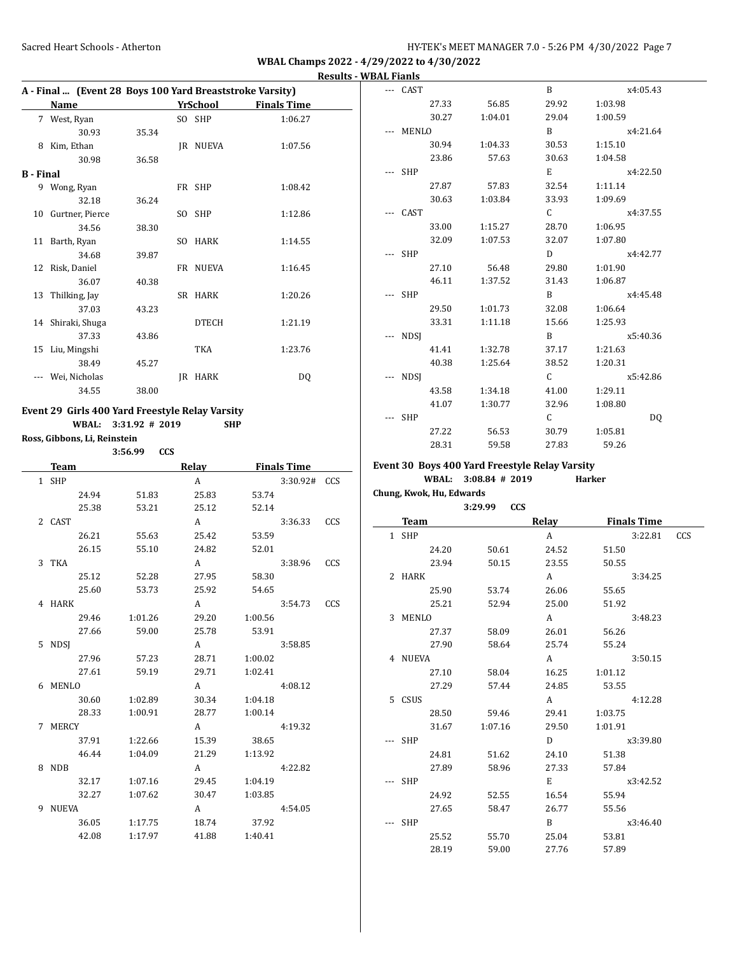|                  | A - Final  (Event 28 Boys 100 Yard Breaststroke Varsity) |       |     |              |                    |  |
|------------------|----------------------------------------------------------|-------|-----|--------------|--------------------|--|
|                  | Name                                                     |       |     | YrSchool     | <b>Finals Time</b> |  |
|                  | 7 West, Ryan                                             |       |     | SO SHP       | 1:06.27            |  |
|                  | 30.93                                                    | 35.34 |     |              |                    |  |
| 8                | Kim, Ethan                                               |       | IR  | NUEVA        | 1:07.56            |  |
|                  | 30.98                                                    | 36.58 |     |              |                    |  |
| <b>B</b> - Final |                                                          |       |     |              |                    |  |
|                  | 9 Wong, Ryan                                             |       |     | FR SHP       | 1:08.42            |  |
|                  | 32.18                                                    | 36.24 |     |              |                    |  |
| 10               | Gurtner, Pierce                                          |       |     | SO SHP       | 1:12.86            |  |
|                  | 34.56                                                    | 38.30 |     |              |                    |  |
| 11               | Barth, Ryan                                              |       | SO. | <b>HARK</b>  | 1:14.55            |  |
|                  | 34.68                                                    | 39.87 |     |              |                    |  |
|                  | 12 Risk, Daniel                                          |       |     | FR NUEVA     | 1:16.45            |  |
|                  | 36.07                                                    | 40.38 |     |              |                    |  |
|                  | 13 Thilking, Jay                                         |       |     | SR HARK      | 1:20.26            |  |
|                  | 37.03                                                    | 43.23 |     |              |                    |  |
|                  | 14 Shiraki, Shuga                                        |       |     | <b>DTECH</b> | 1:21.19            |  |
|                  | 37.33                                                    | 43.86 |     |              |                    |  |
|                  | 15 Liu, Mingshi                                          |       |     | TKA          | 1:23.76            |  |
|                  | 38.49                                                    | 45.27 |     |              |                    |  |
|                  | Wei, Nicholas                                            |       | IR  | <b>HARK</b>  | DQ                 |  |
|                  | 34.55                                                    | 38.00 |     |              |                    |  |

### **Event 29 Girls 400 Yard Freestyle Relay Varsity WBAL: 3:31.92 # 2019 SHP**

**Ross, Gibbons, Li, Reinstein**

**3:56.99 CCS Team Relay Finals Time**

|   | теаш    |         | Reiay |         | rinais rime   |     |
|---|---------|---------|-------|---------|---------------|-----|
|   | 1 SHP   |         | A     |         | 3:30.92# CCS  |     |
|   | 24.94   | 51.83   | 25.83 | 53.74   |               |     |
|   | 25.38   | 53.21   | 25.12 | 52.14   |               |     |
|   | 2 CAST  |         | A     |         | $3:36.33$ CCS |     |
|   | 26.21   | 55.63   | 25.42 | 53.59   |               |     |
|   | 26.15   | 55.10   | 24.82 | 52.01   |               |     |
|   | 3 TKA   |         | A     |         | 3:38.96       | CCS |
|   | 25.12   | 52.28   | 27.95 | 58.30   |               |     |
|   | 25.60   | 53.73   | 25.92 | 54.65   |               |     |
|   | 4 HARK  |         | A     |         | 3:54.73 CCS   |     |
|   | 29.46   | 1:01.26 | 29.20 | 1:00.56 |               |     |
|   | 27.66   | 59.00   | 25.78 | 53.91   |               |     |
|   | 5 NDSI  |         | A     |         | 3:58.85       |     |
|   | 27.96   | 57.23   | 28.71 | 1:00.02 |               |     |
|   | 27.61   | 59.19   | 29.71 | 1:02.41 |               |     |
|   | 6 MENLO |         | A     |         | 4:08.12       |     |
|   | 30.60   | 1:02.89 | 30.34 | 1:04.18 |               |     |
|   | 28.33   | 1:00.91 | 28.77 | 1:00.14 |               |     |
|   | 7 MERCY |         | A     |         | 4:19.32       |     |
|   | 37.91   | 1:22.66 | 15.39 | 38.65   |               |     |
|   | 46.44   | 1:04.09 | 21.29 | 1:13.92 |               |     |
|   | 8 NDB   |         | A     |         | 4:22.82       |     |
|   | 32.17   | 1:07.16 | 29.45 | 1:04.19 |               |     |
|   | 32.27   | 1:07.62 | 30.47 | 1:03.85 |               |     |
| 9 | NUEVA   |         | A     |         | 4:54.05       |     |
|   | 36.05   | 1:17.75 | 18.74 | 37.92   |               |     |
|   | 42.08   | 1:17.97 | 41.88 | 1:40.41 |               |     |
|   |         |         |       |         |               |     |

| CAST        |       |         | B            | x4:05.43 |
|-------------|-------|---------|--------------|----------|
|             | 27.33 | 56.85   | 29.92        | 1:03.98  |
|             | 30.27 | 1:04.01 | 29.04        | 1:00.59  |
| MENLO       |       |         | B            | x4:21.64 |
|             | 30.94 | 1:04.33 | 30.53        | 1:15.10  |
|             | 23.86 | 57.63   | 30.63        | 1:04.58  |
| <b>SHP</b>  |       |         | E            | x4:22.50 |
|             | 27.87 | 57.83   | 32.54        | 1:11.14  |
|             | 30.63 | 1:03.84 | 33.93        | 1:09.69  |
| CAST        |       |         | C.           | x4:37.55 |
|             | 33.00 | 1:15.27 | 28.70        | 1:06.95  |
|             | 32.09 | 1:07.53 | 32.07        | 1:07.80  |
| SHP         |       |         | D            | x4:42.77 |
|             | 27.10 | 56.48   | 29.80        | 1:01.90  |
|             | 46.11 | 1:37.52 | 31.43        | 1:06.87  |
| SHP         |       |         | B            | x4:45.48 |
|             | 29.50 | 1:01.73 | 32.08        | 1:06.64  |
|             | 33.31 | 1:11.18 | 15.66        | 1:25.93  |
| <b>NDSI</b> |       |         | B            | x5:40.36 |
|             | 41.41 | 1:32.78 | 37.17        | 1:21.63  |
|             | 40.38 | 1:25.64 | 38.52        | 1:20.31  |
| <b>NDSI</b> |       |         | $\mathsf{C}$ | x5:42.86 |
|             | 43.58 | 1:34.18 | 41.00        | 1:29.11  |
|             | 41.07 | 1:30.77 | 32.96        | 1:08.80  |
| <b>SHP</b>  |       |         | $\mathsf{C}$ | DQ       |
|             | 27.22 | 56.53   | 30.79        | 1:05.81  |
|             | 28.31 | 59.58   | 27.83        | 59.26    |

### **Event 30 Boys 400 Yard Freestyle Relay Varsity**

**WBAL: 3:08.84 # 2019 Harker**

**Chung, Kwok, Hu, Edwards**

|             | 3:29.99<br><b>CCS</b> |                |                    |            |
|-------------|-----------------------|----------------|--------------------|------------|
| <b>Team</b> |                       | Relay          | <b>Finals Time</b> |            |
| 1 SHP       |                       | A              | 3:22.81            | <b>CCS</b> |
| 24.20       | 50.61                 | 24.52          | 51.50              |            |
| 23.94       | 50.15                 | 23.55          | 50.55              |            |
| 2 HARK      |                       | A              | 3:34.25            |            |
| 25.90       | 53.74                 | 26.06          | 55.65              |            |
| 25.21       | 52.94                 | 25.00          | 51.92              |            |
| 3 MENLO     |                       | A              | 3:48.23            |            |
| 27.37       | 58.09                 | 26.01          | 56.26              |            |
| 27.90       | 58.64                 | 25.74          | 55.24              |            |
| 4 NUEVA     |                       | A              | 3:50.15            |            |
| 27.10       | 58.04                 | 16.25          | 1:01.12            |            |
| 27.29       | 57.44                 | 24.85          | 53.55              |            |
| 5 CSUS      |                       | A              | 4:12.28            |            |
| 28.50       | 59.46                 | 29.41          | 1:03.75            |            |
| 31.67       | 1:07.16               | 29.50          | 1:01.91            |            |
| SHP         |                       | D.             | x3:39.80           |            |
| 24.81       | 51.62                 | 24.10          | 51.38              |            |
| 27.89       | 58.96                 | 27.33          | 57.84              |            |
| SHP         |                       | E              | x3:42.52           |            |
| 24.92       | 52.55                 | 16.54          | 55.94              |            |
| 27.65       | 58.47                 | 26.77          | 55.56              |            |
| SHP         |                       | B <sub>a</sub> | x3:46.40           |            |
| 25.52       | 55.70                 | 25.04          | 53.81              |            |
| 28.19       | 59.00                 | 27.76          | 57.89              |            |